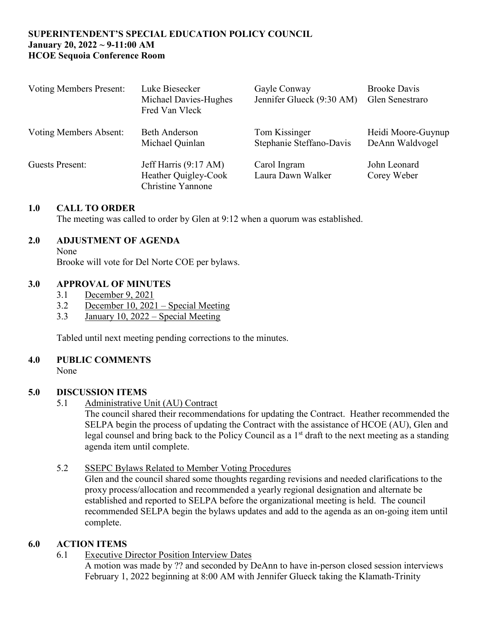## **SUPERINTENDENT'S SPECIAL EDUCATION POLICY COUNCIL January 20, 2022 ~ 9-11:00 AM HCOE Sequoia Conference Room**

| <b>Voting Members Present:</b> | Luke Biesecker<br>Michael Davies-Hughes<br>Fred Van Vleck                 | Gayle Conway<br>Jennifer Glueck (9:30 AM) | <b>Brooke Davis</b><br>Glen Senestraro |
|--------------------------------|---------------------------------------------------------------------------|-------------------------------------------|----------------------------------------|
| Voting Members Absent:         | <b>Beth Anderson</b><br>Michael Quinlan                                   | Tom Kissinger<br>Stephanie Steffano-Davis | Heidi Moore-Guynup<br>DeAnn Waldvogel  |
| Guests Present:                | Jeff Harris (9:17 AM)<br>Heather Quigley-Cook<br><b>Christine Yannone</b> | Carol Ingram<br>Laura Dawn Walker         | John Leonard<br>Corey Weber            |

### **1.0 CALL TO ORDER**

The meeting was called to order by Glen at 9:12 when a quorum was established.

### **2.0 ADJUSTMENT OF AGENDA**

None

Brooke will vote for Del Norte COE per bylaws.

#### **3.0 APPROVAL OF MINUTES**

- 3.1 December 9, 2021
- 3.2 December 10, 2021 Special Meeting
- 3.3 January 10, 2022 Special Meeting

Tabled until next meeting pending corrections to the minutes.

#### **4.0 PUBLIC COMMENTS**

None

#### **5.0 DISCUSSION ITEMS**

5.1 Administrative Unit (AU) Contract

The council shared their recommendations for updating the Contract. Heather recommended the SELPA begin the process of updating the Contract with the assistance of HCOE (AU), Glen and legal counsel and bring back to the Policy Council as a 1<sup>st</sup> draft to the next meeting as a standing agenda item until complete.

5.2 SSEPC Bylaws Related to Member Voting Procedures

Glen and the council shared some thoughts regarding revisions and needed clarifications to the proxy process/allocation and recommended a yearly regional designation and alternate be established and reported to SELPA before the organizational meeting is held. The council recommended SELPA begin the bylaws updates and add to the agenda as an on-going item until complete.

## **6.0 ACTION ITEMS**

6.1 Executive Director Position Interview Dates

A motion was made by ?? and seconded by DeAnn to have in-person closed session interviews February 1, 2022 beginning at 8:00 AM with Jennifer Glueck taking the Klamath-Trinity